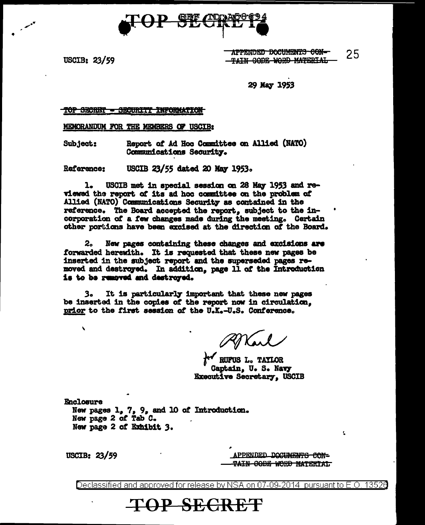

USCIB: 23/59

APPENDED DOCUMENTS CON-25 TAIN CODE WORD MATERIAL

29 May 1953

### TOP SECRET - SECURITY INFORMATION

MEMORANDUM FOR THE MEMBERS OF USCIB:

Subject: Report of Ad Hoc Committee on Allied (NATO) Communications Security.

Reference: USCIB 23/55 dated 20 May 1953.

ı. USCIB met in special session on 28 May 1953 and reviewed the report of its ad hoc committee on the problem of Allied (NATO) Communications Security as contained in the reference. The Board accepted the report, subject to the incorporation of a few changes made during the meeting. Certain other portions have been excised at the direction of the Board.

2. New pages containing these changes and excisions are forwarded herewith. It is requested that these new pages be inserted in the subject report and the superseded pages removed and destroyed. In addition, page 11 of the Introduction is to be removed and destroyed.

It is particularly important that these new pages з. be inserted in the copies of the report now in circulation, prior to the first session of the U.K.-U.S. Conference.

**AV RUFUS L. TAYLOR** Captain, U. S. Navy **Executive Secretary, USCIB** 

Enclosure New pages 1, 7, 9, and 10 of Introduction. New page 2 of Tab C. New page 2 of Exhibit 3.

USCIB:  $23/59$ 

 $\lambda$ 

APPENDED DOCUMENTS CON-<del>TAIN CODE WORD MATERIAL</del> Ł.

Declassified and approved for release by NSA on 07-09-2014 pursuant to E.O. 13520

**TOP SECRET**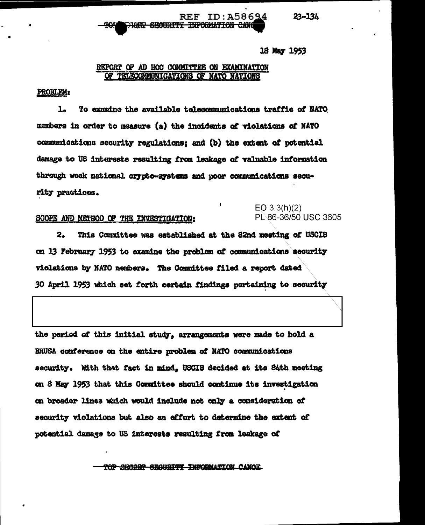$23 - 134$ 

#### ID: A58694  $REF$ <del>HET SECURITI INFORMATION CAN</del>

## 18 May 1953

# REPORT OF AD HOC COMMITTEE ON EXAMINATION OF TELECOMMUNICATIONS OF NATO NATIONS

## PROBLEM:

To examine the available telecommunications traffic of NATO 1. mambers in order to measure (a) the incidents of violations of NATO communications security regulations; and (b) the extent of potential damage to US interests resulting from leakage of valuable information through weak national crypto-systems and poor communications security practices.

# SCOPE AND METHOD OF THE INVESTIGATION:

# $EO$  3.3(h)(2) PL 86-36/50 USC 3605

 $2.$ This Committee was established at the 82nd meeting of USCIB on 13 February 1953 to examine the problem of communications security violations by NATO members. The Committee filed a report dated 30 April 1953 which set forth certain findings pertaining to security

the period of this initial study, arrangements were made to hold a BRUSA conference on the entire problem of NATO communications security. With that fact in mind. USCIB decided at its S4th meeting on 8 May 1953 that this Committee should continue its investigation on broader lines which would include not only a consideration of security violations but also an effort to determine the extent of potential damage to US interests resulting from leakage of

TOP SECRET SEGURITY INFORMATION CANOE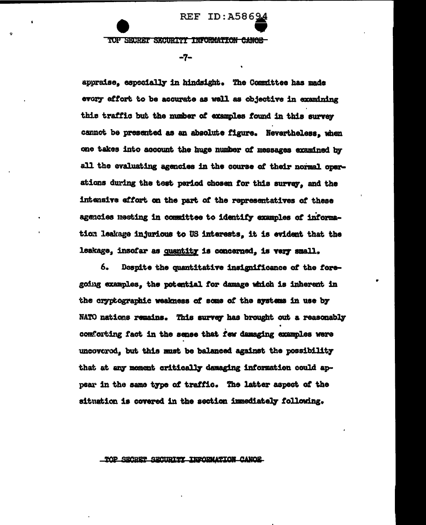TOP SECRET SECURITY INFORMATION CANOE

REF

ID:A58694

 $-7-$ 

appraise. especially in hindsight. The Committee has made every effort to be accurate as well as objective in examining this traffic but the number of examples found in this survey cannot be presented as an absolute figure. Nevertheless, when one takes into account the huge number of messages examined by all the evaluating agencies in the course of their normal operations during the test pariod chosen for this survey, and the intensive effort on the part of the representatives of these agencies meeting in committee to identify examples of information leakage injurious to US interests, it is evident that the leakage, insofar as quantity is concerned, is very small.

6. Despite the quantitative insignificance of the foregoing examples, the potential for damage which is inherent in the cryptographic weakness of some of the systems in use by NATO nations remains. This survey has brought out a reasonably comforting fact in the sense that few damaging examples were uncovered, but this must be balanced against the possibility that at any moment critically damaging information could appear in the same type of traffic. The latter aspect of the situation is covered in the section immediately following.

### TOP SECRET SECURITY INFORMATION CANOE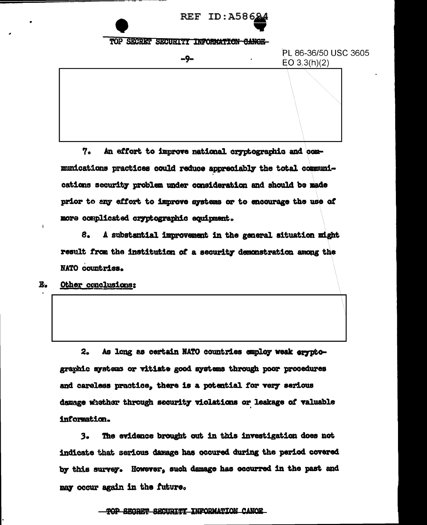REF ID:A586

# TOP SECRET SECURITY INFORMATION CANOE



7. An effort to improve national cryptographic and communications practices could reduce appreciably the total communications security problem under consideration and should be made prior to any affort to improve systems or to encourage the use of more complicated cryptographic equipment.

8. A substantial improvement in the general situation might result from the institution of a security demonstration among the NATO countries.

 $E_{\bullet}$ Other conclusions:

> As long as certain NATO countries employ weak arypto $z_{\bullet}$ graphic systems or vitiate good systems through poor procedures and careless practice, there is a potential for very serious damage whether through security violations or leakage of valuable information.

 $3.$ The evidence brought out in this investigation does not indicate that serious damage has occured during the period covered by this survey. However, such damage has occurred in the past and may occur again in the future.

TOP SECRET SECURITI INFORMATION CANOE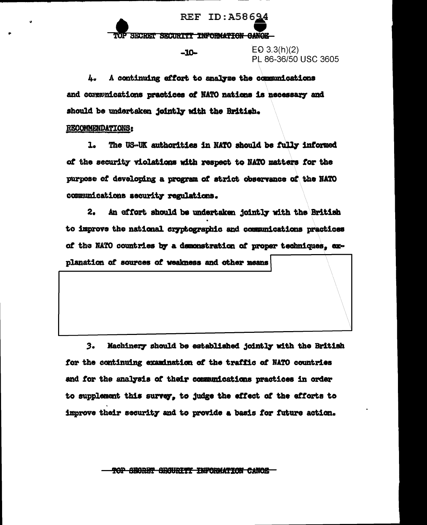REF ID: A58624 SECRET SECURITY INFORMATION GANOE

 $-10-$ 

 $EO 3.3(h)(2)$ PL 86-36/50 USC 3605

A continuing effort to analyze the communications 4. and communications practices of NATO nations is necessary and should be undertaken jointly with the British.

# **RECOMMENDATIONS:**

The US-UK authorities in NATO should be fully informed  $\mathbf{1}_{\bullet}$ of the security violations with respect to NATO matters for the purpose of developing a program of strict observance of the NATO communications security regulations.

2. An effort should be undertaken jointly with the British to improve the national cryptographic and communications practices of the NATO countries by a demonstration of proper techniques, ex-

planation of sources of weakness and other means

 $3.$ Machinery should be established jointly with the British for the continuing examination of the traffic of NATO countries and for the analysis of their communications practices in order to supplement this survey, to judge the effect of the efforts to improve their security and to provide a basis for future action.

TOP SEORET SEGURITI INFORMATION CANOE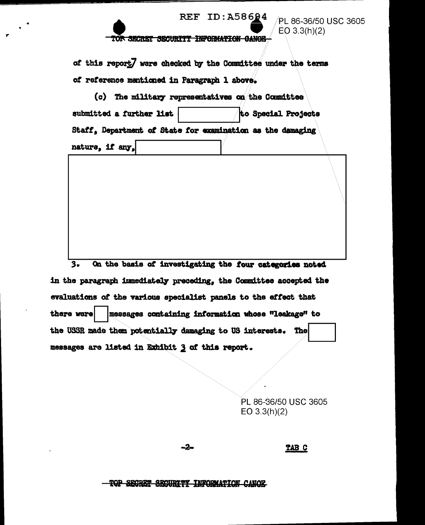

PL 86-36/50 USC 3605  $EO 3.3(h)(2)$ 

### TOR SECRET SECURITY INFORMATION CANOE

of this report] were checked by the Committee under the terms of reference mentioned in Paragraph 1 above.

(c) The military representatives on the Committee submitted a further list to Special Projects Staff, Department of State for examination as the damaging nature, if any,

On the basis of investigating the four categories noted  $3.$ in the paragraph immediately preceding, the Committee accepted the evaluations of the various specialist panels to the effect that there were messages containing information whose "leakage" to the USSR made them potentially damaging to US interests. The messages are listed in Exhibit 3 of this report.

> PL 86-36/50 USC 3605 EO  $3.3(h)(2)$

-2-

TAB C

<del>TOP SECRET SECURITY INFORMATION CANOE</del>